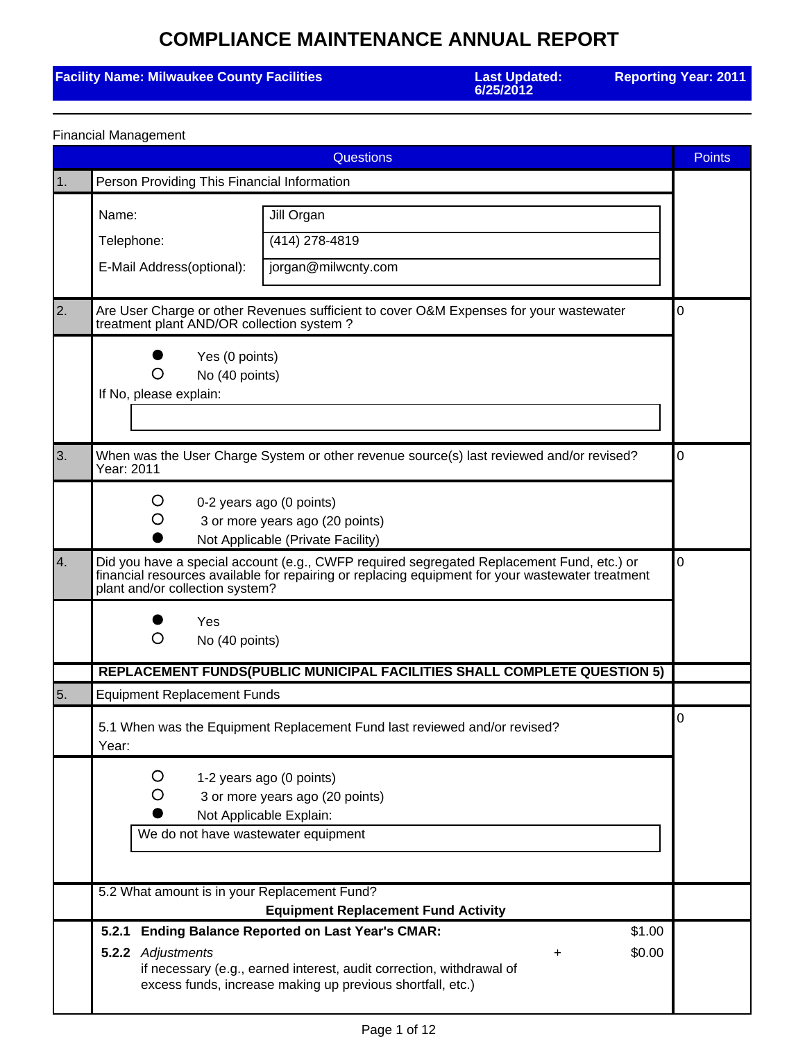### **Facility Name: Milwaukee County Facilities**

**6/25/2012**

**Reporting Year: 2011**

|            | <b>Questions</b>                                                                                                                                                                                                                 |                                                                                                                                                                                                                    |   |  |  |
|------------|----------------------------------------------------------------------------------------------------------------------------------------------------------------------------------------------------------------------------------|--------------------------------------------------------------------------------------------------------------------------------------------------------------------------------------------------------------------|---|--|--|
| $\vert$ 1. | Person Providing This Financial Information                                                                                                                                                                                      |                                                                                                                                                                                                                    |   |  |  |
|            | Name:                                                                                                                                                                                                                            | Jill Organ                                                                                                                                                                                                         |   |  |  |
|            | Telephone:                                                                                                                                                                                                                       | (414) 278-4819                                                                                                                                                                                                     |   |  |  |
|            | E-Mail Address(optional):                                                                                                                                                                                                        | jorgan@milwcnty.com                                                                                                                                                                                                |   |  |  |
| 2.         | treatment plant AND/OR collection system?                                                                                                                                                                                        | Are User Charge or other Revenues sufficient to cover O&M Expenses for your wastewater                                                                                                                             | 0 |  |  |
|            | Yes (0 points)<br>No (40 points)<br>O<br>If No, please explain:                                                                                                                                                                  |                                                                                                                                                                                                                    |   |  |  |
| 3.         | Year: 2011                                                                                                                                                                                                                       | When was the User Charge System or other revenue source(s) last reviewed and/or revised?                                                                                                                           | 0 |  |  |
|            | Ő<br>O                                                                                                                                                                                                                           | 0-2 years ago (0 points)<br>3 or more years ago (20 points)<br>Not Applicable (Private Facility)                                                                                                                   |   |  |  |
| 4.         | Did you have a special account (e.g., CWFP required segregated Replacement Fund, etc.) or<br>financial resources available for repairing or replacing equipment for your wastewater treatment<br>plant and/or collection system? |                                                                                                                                                                                                                    |   |  |  |
|            | Yes<br>O<br>No (40 points)                                                                                                                                                                                                       |                                                                                                                                                                                                                    |   |  |  |
|            |                                                                                                                                                                                                                                  | REPLACEMENT FUNDS(PUBLIC MUNICIPAL FACILITIES SHALL COMPLETE QUESTION 5)                                                                                                                                           |   |  |  |
| 5.         | <b>Equipment Replacement Funds</b>                                                                                                                                                                                               |                                                                                                                                                                                                                    |   |  |  |
|            | Year:                                                                                                                                                                                                                            | 5.1 When was the Equipment Replacement Fund last reviewed and/or revised?                                                                                                                                          | 0 |  |  |
|            | O<br>We do not have wastewater equipment                                                                                                                                                                                         | 1-2 years ago (0 points)<br>3 or more years ago (20 points)<br>Not Applicable Explain:                                                                                                                             |   |  |  |
|            | 5.2 What amount is in your Replacement Fund?<br><b>Equipment Replacement Fund Activity</b>                                                                                                                                       |                                                                                                                                                                                                                    |   |  |  |
|            | 5.2.1<br>5.2.2 Adjustments                                                                                                                                                                                                       | <b>Ending Balance Reported on Last Year's CMAR:</b><br>\$1.00<br>\$0.00<br>+<br>if necessary (e.g., earned interest, audit correction, withdrawal of<br>excess funds, increase making up previous shortfall, etc.) |   |  |  |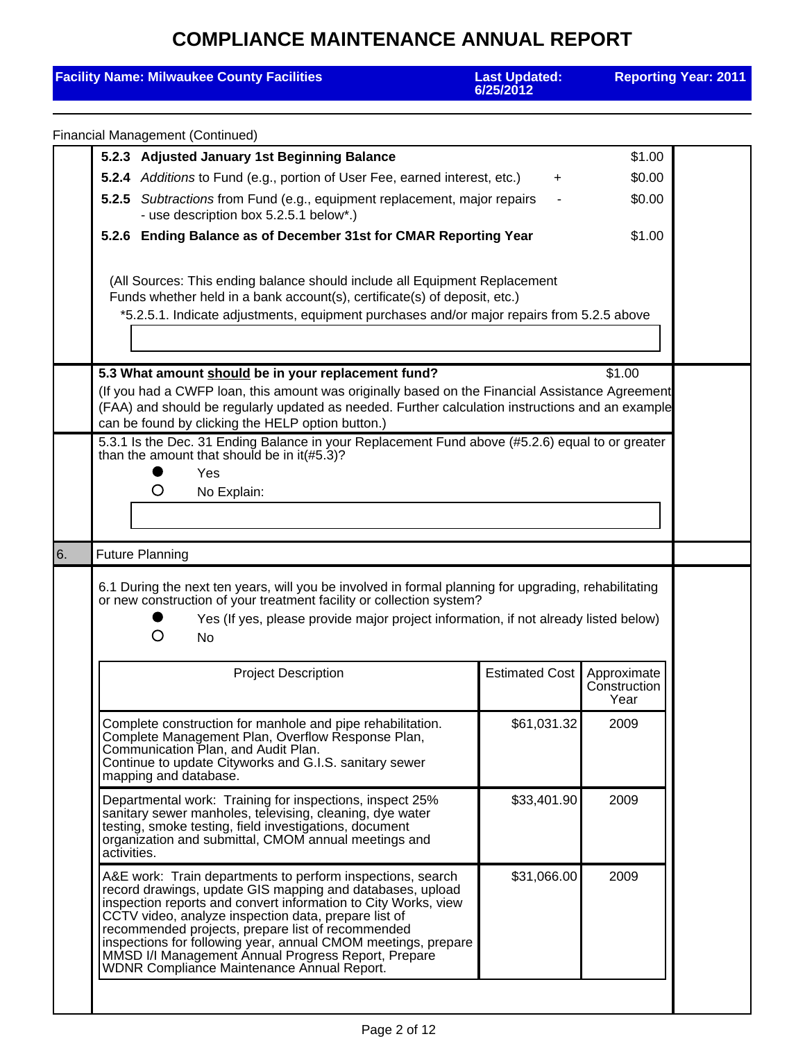| <b>Facility Name: Milwaukee County Facilities</b>                                                                                                                                                                                                                                                                                                                                                                                                                            | <b>Last Updated:</b><br>6/25/2012                                                                                                                                                                                                                                                                                                                                       |                                     | <b>Reporting Year: 2011</b> |  |  |
|------------------------------------------------------------------------------------------------------------------------------------------------------------------------------------------------------------------------------------------------------------------------------------------------------------------------------------------------------------------------------------------------------------------------------------------------------------------------------|-------------------------------------------------------------------------------------------------------------------------------------------------------------------------------------------------------------------------------------------------------------------------------------------------------------------------------------------------------------------------|-------------------------------------|-----------------------------|--|--|
| <b>Financial Management (Continued)</b>                                                                                                                                                                                                                                                                                                                                                                                                                                      |                                                                                                                                                                                                                                                                                                                                                                         |                                     |                             |  |  |
| 5.2.3 Adjusted January 1st Beginning Balance                                                                                                                                                                                                                                                                                                                                                                                                                                 |                                                                                                                                                                                                                                                                                                                                                                         | \$1.00                              |                             |  |  |
| 5.2.4 Additions to Fund (e.g., portion of User Fee, earned interest, etc.)                                                                                                                                                                                                                                                                                                                                                                                                   |                                                                                                                                                                                                                                                                                                                                                                         | \$0.00                              |                             |  |  |
| 5.2.5 Subtractions from Fund (e.g., equipment replacement, major repairs<br>- use description box 5.2.5.1 below*.)                                                                                                                                                                                                                                                                                                                                                           |                                                                                                                                                                                                                                                                                                                                                                         | \$0.00                              |                             |  |  |
| 5.2.6 Ending Balance as of December 31st for CMAR Reporting Year                                                                                                                                                                                                                                                                                                                                                                                                             | \$1.00                                                                                                                                                                                                                                                                                                                                                                  |                                     |                             |  |  |
|                                                                                                                                                                                                                                                                                                                                                                                                                                                                              | (All Sources: This ending balance should include all Equipment Replacement<br>Funds whether held in a bank account(s), certificate(s) of deposit, etc.)<br>*5.2.5.1. Indicate adjustments, equipment purchases and/or major repairs from 5.2.5 above                                                                                                                    |                                     |                             |  |  |
|                                                                                                                                                                                                                                                                                                                                                                                                                                                                              |                                                                                                                                                                                                                                                                                                                                                                         |                                     |                             |  |  |
| can be found by clicking the HELP option button.)<br>than the amount that should be in it(#5.3)?                                                                                                                                                                                                                                                                                                                                                                             | 5.3 What amount should be in your replacement fund?<br>\$1.00<br>(If you had a CWFP loan, this amount was originally based on the Financial Assistance Agreement<br>(FAA) and should be regularly updated as needed. Further calculation instructions and an example<br>5.3.1 Is the Dec. 31 Ending Balance in your Replacement Fund above (#5.2.6) equal to or greater |                                     |                             |  |  |
| Yes<br>O<br>No Explain:                                                                                                                                                                                                                                                                                                                                                                                                                                                      |                                                                                                                                                                                                                                                                                                                                                                         |                                     |                             |  |  |
|                                                                                                                                                                                                                                                                                                                                                                                                                                                                              |                                                                                                                                                                                                                                                                                                                                                                         |                                     |                             |  |  |
| <b>Future Planning</b><br>6.                                                                                                                                                                                                                                                                                                                                                                                                                                                 |                                                                                                                                                                                                                                                                                                                                                                         |                                     |                             |  |  |
| O<br>No                                                                                                                                                                                                                                                                                                                                                                                                                                                                      | 6.1 During the next ten years, will you be involved in formal planning for upgrading, rehabilitating<br>or new construction of your treatment facility or collection system?<br>Yes (If yes, please provide major project information, if not already listed below)                                                                                                     |                                     |                             |  |  |
| <b>Project Description</b>                                                                                                                                                                                                                                                                                                                                                                                                                                                   | <b>Estimated Cost</b>                                                                                                                                                                                                                                                                                                                                                   | Approximate<br>Construction<br>Year |                             |  |  |
| Complete construction for manhole and pipe rehabilitation.<br>Complete Management Plan, Overflow Response Plan,<br>Communication Plan, and Audit Plan.<br>Continue to update Cityworks and G.I.S. sanitary sewer<br>mapping and database.                                                                                                                                                                                                                                    | \$61,031.32                                                                                                                                                                                                                                                                                                                                                             | 2009                                |                             |  |  |
| Departmental work: Training for inspections, inspect 25%<br>sanitary sewer manholes, televising, cleaning, dye water<br>testing, smoke testing, field investigations, document<br>organization and submittal, CMOM annual meetings and<br>activities.                                                                                                                                                                                                                        | \$33,401.90                                                                                                                                                                                                                                                                                                                                                             | 2009                                |                             |  |  |
| A&E work: Train departments to perform inspections, search<br>record drawings, update GIS mapping and databases, upload<br>inspection reports and convert information to City Works, view<br>CCTV video, analyze inspection data, prepare list of<br>recommended projects, prepare list of recommended<br>inspections for following year, annual CMOM meetings, prepare<br>MMSD I/I Management Annual Progress Report, Prepare<br>WDNR Compliance Maintenance Annual Report. | \$31,066.00                                                                                                                                                                                                                                                                                                                                                             | 2009                                |                             |  |  |
|                                                                                                                                                                                                                                                                                                                                                                                                                                                                              |                                                                                                                                                                                                                                                                                                                                                                         |                                     |                             |  |  |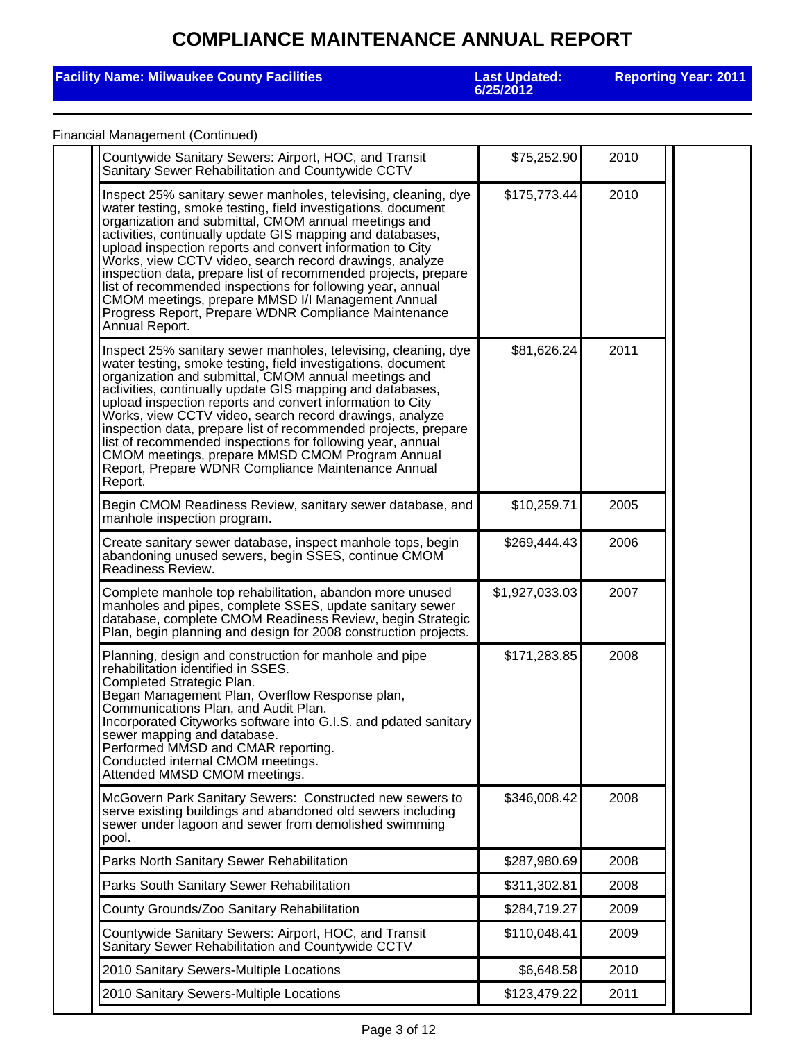### **Facility Name: Milwaukee County Facilities**

**6/25/2012**

**Reporting Year: 2011**

### Financial Management (Continued)

| Countywide Sanitary Sewers: Airport, HOC, and Transit<br>Sanitary Sewer Rehabilitation and Countywide CCTV                                                                                                                                                                                                                                                                                                                                                                                                                                                                                                                                 | \$75,252.90    | 2010 |  |
|--------------------------------------------------------------------------------------------------------------------------------------------------------------------------------------------------------------------------------------------------------------------------------------------------------------------------------------------------------------------------------------------------------------------------------------------------------------------------------------------------------------------------------------------------------------------------------------------------------------------------------------------|----------------|------|--|
| Inspect 25% sanitary sewer manholes, televising, cleaning, dye<br>water testing, smoke testing, field investigations, document<br>organization and submittal, CMOM annual meetings and<br>activities, continually update GIS mapping and databases,<br>upload inspection reports and convert information to City<br>Works, view CCTV video, search record drawings, analyze<br>inspection data, prepare list of recommended projects, prepare<br>list of recommended inspections for following year, annual<br>CMOM meetings, prepare MMSD I/I Management Annual<br>Progress Report, Prepare WDNR Compliance Maintenance<br>Annual Report. | \$175,773.44   | 2010 |  |
| Inspect 25% sanitary sewer manholes, televising, cleaning, dye<br>water testing, smoke testing, field investigations, document<br>organization and submittal, CMOM annual meetings and<br>activities, continually update GIS mapping and databases,<br>upload inspection reports and convert information to City<br>Works, view CCTV video, search record drawings, analyze<br>inspection data, prepare list of recommended projects, prepare<br>list of recommended inspections for following year, annual<br>CMOM meetings, prepare MMSD CMOM Program Annual<br>Report, Prepare WDNR Compliance Maintenance Annual<br>Report.            | \$81,626.24    | 2011 |  |
| Begin CMOM Readiness Review, sanitary sewer database, and<br>manhole inspection program.                                                                                                                                                                                                                                                                                                                                                                                                                                                                                                                                                   | \$10,259.71    | 2005 |  |
| Create sanitary sewer database, inspect manhole tops, begin<br>abandoning unused sewers, begin SSES, continue CMOM<br>Readiness Review.                                                                                                                                                                                                                                                                                                                                                                                                                                                                                                    | \$269,444.43   | 2006 |  |
| Complete manhole top rehabilitation, abandon more unused<br>manholes and pipes, complete SSES, update sanitary sewer<br>database, complete CMOM Readiness Review, begin Strategic<br>Plan, begin planning and design for 2008 construction projects.                                                                                                                                                                                                                                                                                                                                                                                       | \$1,927,033.03 | 2007 |  |
| Planning, design and construction for manhole and pipe<br>rehabilitation identified in SSES.<br>Completed Strategic Plan.<br>Began Management Plan, Overflow Response plan,<br>Communications Plan, and Audit Plan.<br>Incorporated Cityworks software into G.I.S. and pdated sanitary<br>sewer mapping and database.<br>Performed MMSD and CMAR reporting.<br>Conducted internal CMOM meetings.<br>Attended MMSD CMOM meetings.                                                                                                                                                                                                           | \$171,283.85   | 2008 |  |
| McGovern Park Sanitary Sewers: Constructed new sewers to<br>serve existing buildings and abandoned old sewers including<br>sewer under lagoon and sewer from demolished swimming<br>pool.                                                                                                                                                                                                                                                                                                                                                                                                                                                  | \$346,008.42   | 2008 |  |
| Parks North Sanitary Sewer Rehabilitation                                                                                                                                                                                                                                                                                                                                                                                                                                                                                                                                                                                                  | \$287,980.69   | 2008 |  |
| Parks South Sanitary Sewer Rehabilitation                                                                                                                                                                                                                                                                                                                                                                                                                                                                                                                                                                                                  | \$311,302.81   | 2008 |  |
| County Grounds/Zoo Sanitary Rehabilitation                                                                                                                                                                                                                                                                                                                                                                                                                                                                                                                                                                                                 | \$284,719.27   | 2009 |  |
| Countywide Sanitary Sewers: Airport, HOC, and Transit<br>Sanitary Sewer Rehabilitation and Countywide CCTV                                                                                                                                                                                                                                                                                                                                                                                                                                                                                                                                 | \$110,048.41   | 2009 |  |
| 2010 Sanitary Sewers-Multiple Locations                                                                                                                                                                                                                                                                                                                                                                                                                                                                                                                                                                                                    | \$6,648.58     | 2010 |  |
| 2010 Sanitary Sewers-Multiple Locations                                                                                                                                                                                                                                                                                                                                                                                                                                                                                                                                                                                                    | \$123,479.22   | 2011 |  |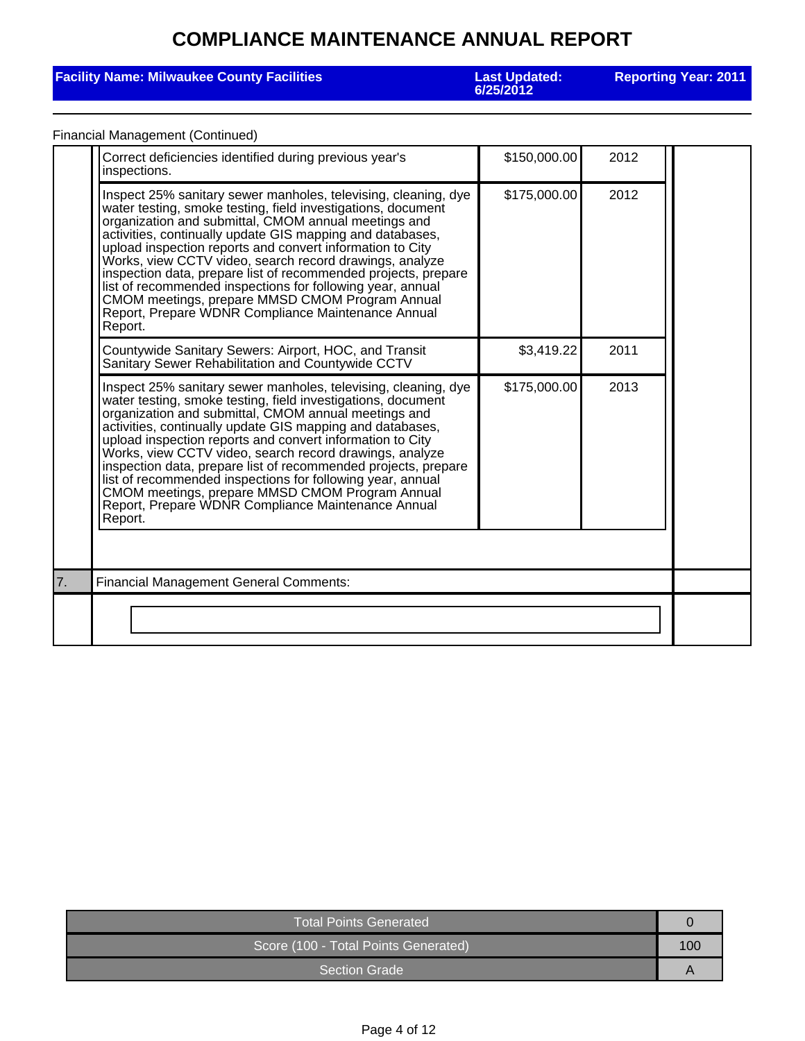### **Facility Name: Milwaukee County Facilities**

**6/25/2012**

**Reporting Year: 2011**

### Financial Management (Continued)

|    | Correct deficiencies identified during previous year's<br>inspections.                                                                                                                                                                                                                                                                                                                                                                                                                                                                                                                                                          | \$150,000.00 | 2012 |  |  |
|----|---------------------------------------------------------------------------------------------------------------------------------------------------------------------------------------------------------------------------------------------------------------------------------------------------------------------------------------------------------------------------------------------------------------------------------------------------------------------------------------------------------------------------------------------------------------------------------------------------------------------------------|--------------|------|--|--|
|    | Inspect 25% sanitary sewer manholes, televising, cleaning, dye<br>water testing, smoke testing, field investigations, document<br>organization and submittal, CMOM annual meetings and<br>activities, continually update GIS mapping and databases,<br>upload inspection reports and convert information to City<br>Works, view CCTV video, search record drawings, analyze<br>inspection data, prepare list of recommended projects, prepare<br>list of recommended inspections for following year, annual<br>CMOM meetings, prepare MMSD CMOM Program Annual<br>Report, Prepare WDNR Compliance Maintenance Annual<br>Report. | \$175,000.00 | 2012 |  |  |
|    | Countywide Sanitary Sewers: Airport, HOC, and Transit<br>Sanitary Sewer Rehabilitation and Countywide CCTV                                                                                                                                                                                                                                                                                                                                                                                                                                                                                                                      | \$3,419.22   | 2011 |  |  |
|    | Inspect 25% sanitary sewer manholes, televising, cleaning, dye<br>water testing, smoke testing, field investigations, document<br>organization and submittal, CMOM annual meetings and<br>activities, continually update GIS mapping and databases,<br>upload inspection reports and convert information to City<br>Works, view CCTV video, search record drawings, analyze<br>inspection data, prepare list of recommended projects, prepare<br>list of recommended inspections for following year, annual<br>CMOM meetings, prepare MMSD CMOM Program Annual<br>Report, Prepare WDNR Compliance Maintenance Annual<br>Report. | \$175,000.00 | 2013 |  |  |
| 7. | <b>Financial Management General Comments:</b>                                                                                                                                                                                                                                                                                                                                                                                                                                                                                                                                                                                   |              |      |  |  |
|    |                                                                                                                                                                                                                                                                                                                                                                                                                                                                                                                                                                                                                                 |              |      |  |  |

| <b>Total Points Generated</b>        |     |  |
|--------------------------------------|-----|--|
| Score (100 - Total Points Generated) | 100 |  |
| I Section Grade '                    |     |  |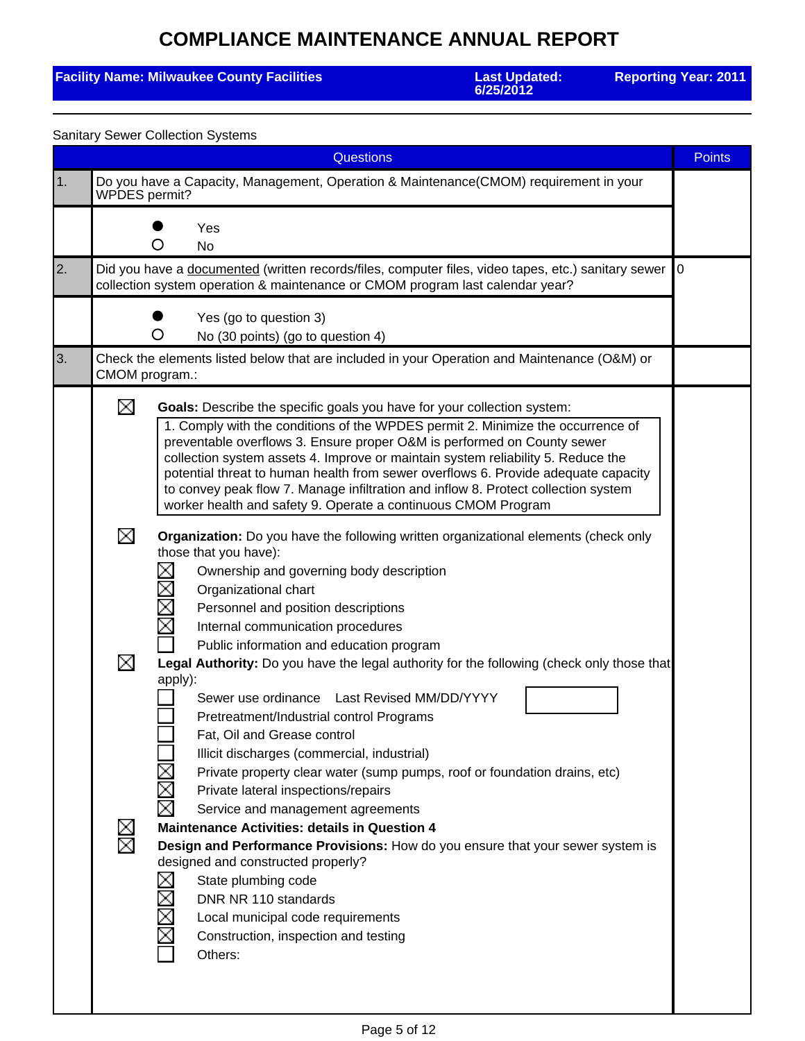### **Facility Name: Milwaukee County Facilities**

**6/25/2012**

**Reporting Year: 2011**

| <b>Sanitary Sewer Collection Systems</b> |                |                                                                                                                                                                                                                                                                                                                                                                                                                                                                                                                                                                        |               |  |
|------------------------------------------|----------------|------------------------------------------------------------------------------------------------------------------------------------------------------------------------------------------------------------------------------------------------------------------------------------------------------------------------------------------------------------------------------------------------------------------------------------------------------------------------------------------------------------------------------------------------------------------------|---------------|--|
|                                          |                | <b>Questions</b>                                                                                                                                                                                                                                                                                                                                                                                                                                                                                                                                                       | <b>Points</b> |  |
| $\vert$ 1.                               | WPDES permit?  | Do you have a Capacity, Management, Operation & Maintenance(CMOM) requirement in your                                                                                                                                                                                                                                                                                                                                                                                                                                                                                  |               |  |
|                                          |                | Yes<br><b>No</b><br>( )                                                                                                                                                                                                                                                                                                                                                                                                                                                                                                                                                |               |  |
| 2.                                       |                | Did you have a documented (written records/files, computer files, video tapes, etc.) sanitary sewer<br>collection system operation & maintenance or CMOM program last calendar year?                                                                                                                                                                                                                                                                                                                                                                                   | 0             |  |
|                                          |                | Yes (go to question 3)<br>O<br>No (30 points) (go to question 4)                                                                                                                                                                                                                                                                                                                                                                                                                                                                                                       |               |  |
| 3.                                       | CMOM program.: | Check the elements listed below that are included in your Operation and Maintenance (O&M) or                                                                                                                                                                                                                                                                                                                                                                                                                                                                           |               |  |
|                                          | ⊠              | Goals: Describe the specific goals you have for your collection system:<br>1. Comply with the conditions of the WPDES permit 2. Minimize the occurrence of<br>preventable overflows 3. Ensure proper O&M is performed on County sewer<br>collection system assets 4. Improve or maintain system reliability 5. Reduce the<br>potential threat to human health from sewer overflows 6. Provide adequate capacity<br>to convey peak flow 7. Manage infiltration and inflow 8. Protect collection system<br>worker health and safety 9. Operate a continuous CMOM Program |               |  |
|                                          | ⊠              | Organization: Do you have the following written organizational elements (check only<br>those that you have):<br>$\mathcal{L}_{\mathcal{A}}$<br>Ownership and governing body description<br>Σ<br>Organizational chart<br>$\geq$<br>Personnel and position descriptions<br>Χ<br>Internal communication procedures<br>Public information and education program                                                                                                                                                                                                            |               |  |
|                                          | ⊠              | Legal Authority: Do you have the legal authority for the following (check only those that<br>apply):<br>Sewer use ordinance    Last Revised MM/DD/YYYY<br>Pretreatment/Industrial control Programs<br>Fat, Oil and Grease control<br>Illicit discharges (commercial, industrial)<br>Private property clear water (sump pumps, roof or foundation drains, etc)<br>Χ<br>Private lateral inspections/repairs<br>×<br>Service and management agreements                                                                                                                    |               |  |
|                                          | $\boxtimes$    | <b>Maintenance Activities: details in Question 4</b><br>Design and Performance Provisions: How do you ensure that your sewer system is<br>designed and constructed properly?<br>State plumbing code<br>$\geq$<br>DNR NR 110 standards<br>Local municipal code requirements<br>Construction, inspection and testing<br>Others:                                                                                                                                                                                                                                          |               |  |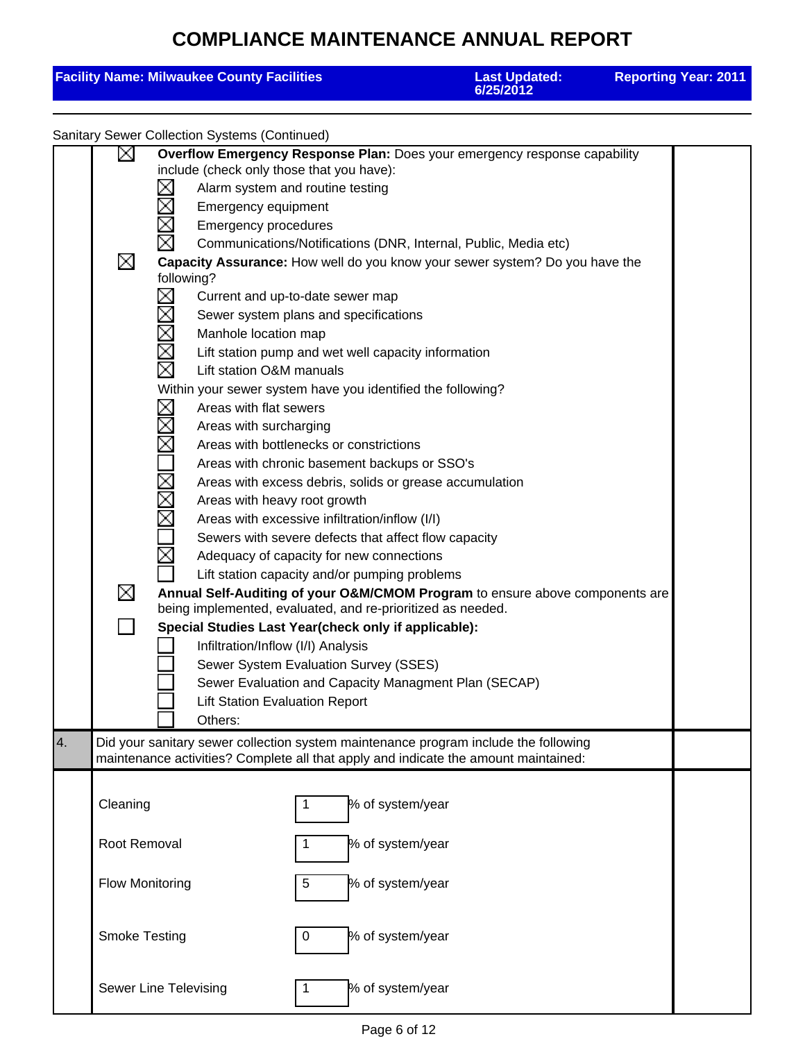|    |                                                                                                                      | <b>Facility Name: Milwaukee County Facilities</b>                                                                                                                                                                                                                                                                                                                                                                                                                                                                                    |                                                                                                                                                                                                                                                                                                                                                                                                                                                         | <b>Last Updated:</b><br>6/25/2012                                                                                                                                                                                                                                                                                                                                                                                                                                                      | <b>Reporting Year: 2011</b> |
|----|----------------------------------------------------------------------------------------------------------------------|--------------------------------------------------------------------------------------------------------------------------------------------------------------------------------------------------------------------------------------------------------------------------------------------------------------------------------------------------------------------------------------------------------------------------------------------------------------------------------------------------------------------------------------|---------------------------------------------------------------------------------------------------------------------------------------------------------------------------------------------------------------------------------------------------------------------------------------------------------------------------------------------------------------------------------------------------------------------------------------------------------|----------------------------------------------------------------------------------------------------------------------------------------------------------------------------------------------------------------------------------------------------------------------------------------------------------------------------------------------------------------------------------------------------------------------------------------------------------------------------------------|-----------------------------|
|    |                                                                                                                      | <b>Sanitary Sewer Collection Systems (Continued)</b>                                                                                                                                                                                                                                                                                                                                                                                                                                                                                 |                                                                                                                                                                                                                                                                                                                                                                                                                                                         |                                                                                                                                                                                                                                                                                                                                                                                                                                                                                        |                             |
|    | ∐<br>$\geq$<br>$\mathbf{r}$<br>$\boxtimes$<br>⊠<br>$\overline{\boxtimes}$<br>⊠<br>$\boxtimes$<br><b>NX</b><br>Σ<br>⊠ | include (check only those that you have):<br>Emergency equipment<br><b>Emergency procedures</b><br>following?<br>N<br>N<br>Manhole location map<br>Lift station O&M manuals<br>Within your sewer system have you identified the following?<br>Areas with flat sewers<br>Areas with surcharging<br>Areas with heavy root growth<br>being implemented, evaluated, and re-prioritized as needed.<br>Special Studies Last Year(check only if applicable):<br>Infiltration/Inflow (I/I) Analysis<br><b>Lift Station Evaluation Report</b> | Alarm system and routine testing<br>Current and up-to-date sewer map<br>Sewer system plans and specifications<br>Lift station pump and wet well capacity information<br>Areas with bottlenecks or constrictions<br>Areas with chronic basement backups or SSO's<br>Areas with excessive infiltration/inflow (I/I)<br>Adequacy of capacity for new connections<br>Lift station capacity and/or pumping problems<br>Sewer System Evaluation Survey (SSES) | Overflow Emergency Response Plan: Does your emergency response capability<br>Communications/Notifications (DNR, Internal, Public, Media etc)<br>Capacity Assurance: How well do you know your sewer system? Do you have the<br>Areas with excess debris, solids or grease accumulation<br>Sewers with severe defects that affect flow capacity<br>Annual Self-Auditing of your O&M/CMOM Program to ensure above components are<br>Sewer Evaluation and Capacity Managment Plan (SECAP) |                             |
| 4. |                                                                                                                      | Others:                                                                                                                                                                                                                                                                                                                                                                                                                                                                                                                              |                                                                                                                                                                                                                                                                                                                                                                                                                                                         | Did your sanitary sewer collection system maintenance program include the following                                                                                                                                                                                                                                                                                                                                                                                                    |                             |
|    |                                                                                                                      |                                                                                                                                                                                                                                                                                                                                                                                                                                                                                                                                      |                                                                                                                                                                                                                                                                                                                                                                                                                                                         | maintenance activities? Complete all that apply and indicate the amount maintained:                                                                                                                                                                                                                                                                                                                                                                                                    |                             |
|    | Cleaning                                                                                                             |                                                                                                                                                                                                                                                                                                                                                                                                                                                                                                                                      |                                                                                                                                                                                                                                                                                                                                                                                                                                                         | % of system/year                                                                                                                                                                                                                                                                                                                                                                                                                                                                       |                             |
|    | Root Removal                                                                                                         |                                                                                                                                                                                                                                                                                                                                                                                                                                                                                                                                      |                                                                                                                                                                                                                                                                                                                                                                                                                                                         | % of system/year                                                                                                                                                                                                                                                                                                                                                                                                                                                                       |                             |
|    | <b>Flow Monitoring</b>                                                                                               |                                                                                                                                                                                                                                                                                                                                                                                                                                                                                                                                      | 5                                                                                                                                                                                                                                                                                                                                                                                                                                                       | % of system/year                                                                                                                                                                                                                                                                                                                                                                                                                                                                       |                             |
|    | <b>Smoke Testing</b>                                                                                                 |                                                                                                                                                                                                                                                                                                                                                                                                                                                                                                                                      | 0                                                                                                                                                                                                                                                                                                                                                                                                                                                       | % of system/year                                                                                                                                                                                                                                                                                                                                                                                                                                                                       |                             |
|    | Sewer Line Televising                                                                                                |                                                                                                                                                                                                                                                                                                                                                                                                                                                                                                                                      |                                                                                                                                                                                                                                                                                                                                                                                                                                                         | % of system/year                                                                                                                                                                                                                                                                                                                                                                                                                                                                       |                             |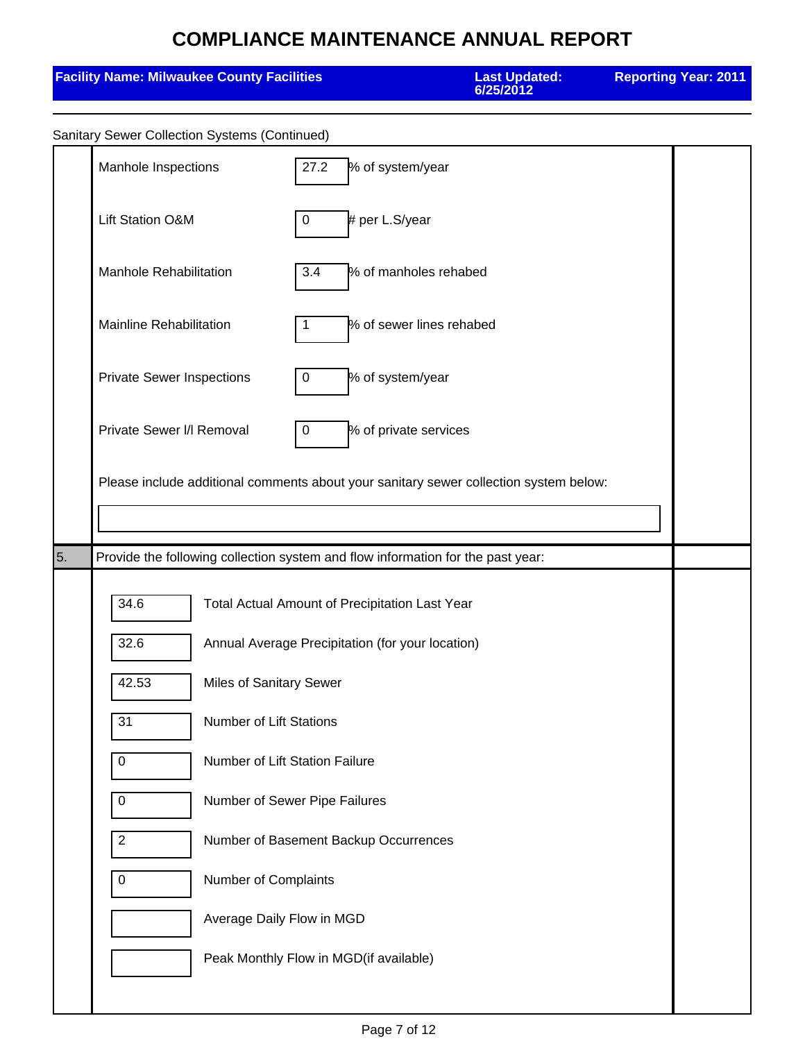| <b>Facility Name: Milwaukee County Facilities</b> |                                                                                       |                                                  | <b>Last Updated:</b><br>6/25/2012 | <b>Reporting Year: 2011</b> |  |  |
|---------------------------------------------------|---------------------------------------------------------------------------------------|--------------------------------------------------|-----------------------------------|-----------------------------|--|--|
| Sanitary Sewer Collection Systems (Continued)     |                                                                                       |                                                  |                                   |                             |  |  |
| Manhole Inspections                               |                                                                                       | 27.2<br>% of system/year                         |                                   |                             |  |  |
| Lift Station O&M                                  |                                                                                       | # per L.S/year<br>$\mathbf 0$                    |                                   |                             |  |  |
| Manhole Rehabilitation                            |                                                                                       | 3.4                                              | % of manholes rehabed             |                             |  |  |
| <b>Mainline Rehabilitation</b>                    |                                                                                       | 1                                                | % of sewer lines rehabed          |                             |  |  |
| <b>Private Sewer Inspections</b>                  |                                                                                       | % of system/year<br>$\mathbf 0$                  |                                   |                             |  |  |
|                                                   | Private Sewer I/I Removal<br>% of private services<br>0                               |                                                  |                                   |                             |  |  |
|                                                   | Please include additional comments about your sanitary sewer collection system below: |                                                  |                                   |                             |  |  |
|                                                   |                                                                                       |                                                  |                                   |                             |  |  |
| 5.                                                | Provide the following collection system and flow information for the past year:       |                                                  |                                   |                             |  |  |
| 34.6                                              | Total Actual Amount of Precipitation Last Year                                        |                                                  |                                   |                             |  |  |
| 32.6                                              |                                                                                       | Annual Average Precipitation (for your location) |                                   |                             |  |  |
| 42.53                                             | Miles of Sanitary Sewer                                                               |                                                  |                                   |                             |  |  |
| 31                                                | <b>Number of Lift Stations</b>                                                        |                                                  |                                   |                             |  |  |
| $\boldsymbol{0}$                                  | Number of Lift Station Failure                                                        |                                                  |                                   |                             |  |  |
| $\boldsymbol{0}$                                  |                                                                                       | Number of Sewer Pipe Failures                    |                                   |                             |  |  |
| $\overline{2}$                                    | Number of Basement Backup Occurrences<br>$\mathbf 0$<br>Number of Complaints          |                                                  |                                   |                             |  |  |
|                                                   |                                                                                       |                                                  |                                   |                             |  |  |
|                                                   | Average Daily Flow in MGD                                                             |                                                  |                                   |                             |  |  |
|                                                   | Peak Monthly Flow in MGD(if available)                                                |                                                  |                                   |                             |  |  |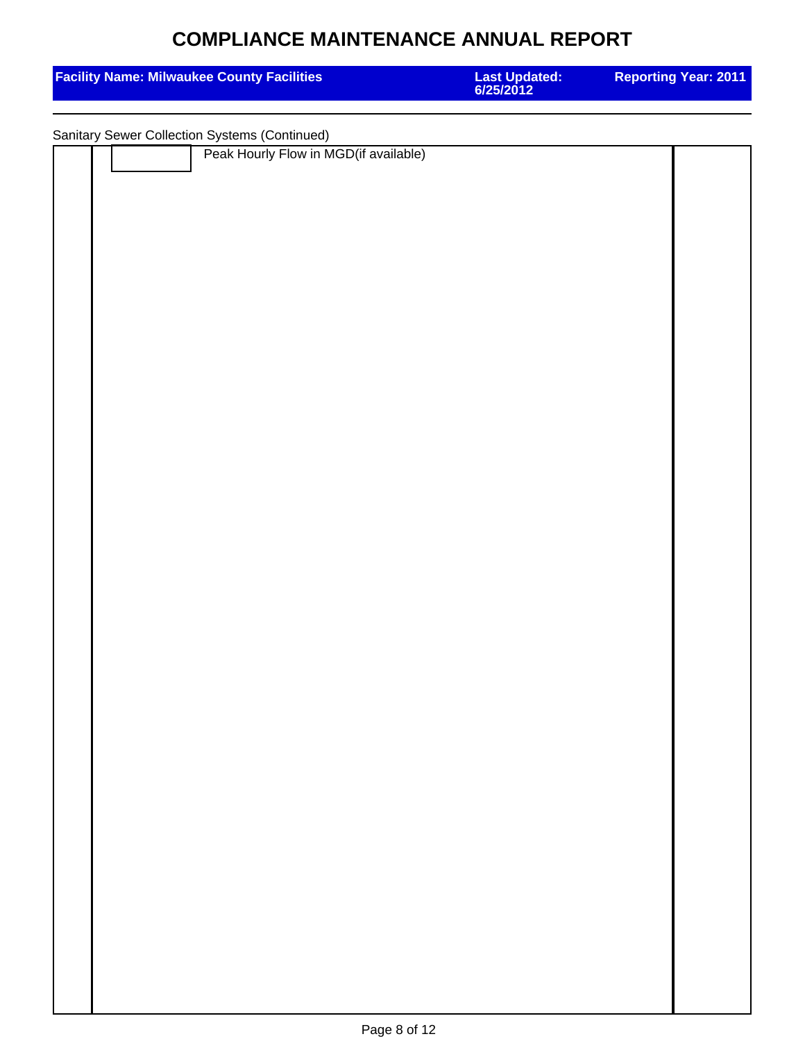| <b>Facility Name: Milwaukee County Facilities</b>                                      | <b>Last Updated:<br/>6/25/2012</b> | <b>Reporting Year: 2011</b> |  |  |  |
|----------------------------------------------------------------------------------------|------------------------------------|-----------------------------|--|--|--|
|                                                                                        |                                    |                             |  |  |  |
| Sanitary Sewer Collection Systems (Continued)<br>Peak Hourly Flow in MGD(if available) |                                    |                             |  |  |  |
|                                                                                        |                                    |                             |  |  |  |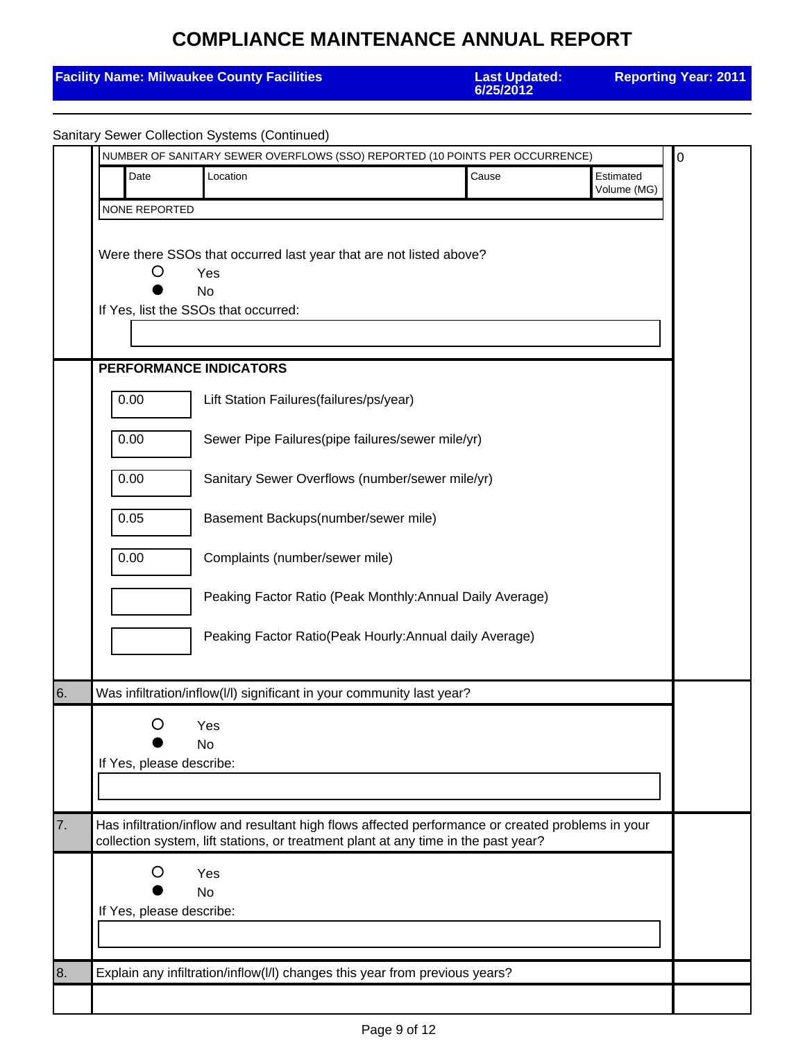|    | <b>Facility Name: Milwaukee County Facilities</b>                                                                                                                                                         | <b>Last Updated:</b><br>6/25/2012                         | <b>Reporting Year: 2011</b> |
|----|-----------------------------------------------------------------------------------------------------------------------------------------------------------------------------------------------------------|-----------------------------------------------------------|-----------------------------|
|    | <b>Sanitary Sewer Collection Systems (Continued)</b>                                                                                                                                                      |                                                           |                             |
|    | NUMBER OF SANITARY SEWER OVERFLOWS (SSO) REPORTED (10 POINTS PER OCCURRENCE)                                                                                                                              |                                                           | $\mathbf 0$                 |
|    | Date<br>Location                                                                                                                                                                                          | Cause                                                     | Estimated<br>Volume (MG)    |
|    | NONE REPORTED                                                                                                                                                                                             |                                                           |                             |
|    | Were there SSOs that occurred last year that are not listed above?<br>Ő<br>Yes<br>No<br>If Yes, list the SSOs that occurred:<br>PERFORMANCE INDICATORS<br>0.00<br>Lift Station Failures(failures/ps/year) |                                                           |                             |
|    | 0.00<br>Sewer Pipe Failures(pipe failures/sewer mile/yr)                                                                                                                                                  |                                                           |                             |
|    | 0.00<br>Sanitary Sewer Overflows (number/sewer mile/yr)                                                                                                                                                   |                                                           |                             |
|    | 0.05<br>Basement Backups(number/sewer mile)                                                                                                                                                               |                                                           |                             |
|    | 0.00<br>Complaints (number/sewer mile)                                                                                                                                                                    | Peaking Factor Ratio (Peak Monthly: Annual Daily Average) |                             |
|    |                                                                                                                                                                                                           | Peaking Factor Ratio(Peak Hourly: Annual daily Average)   |                             |
| 6. | Was infiltration/inflow(I/I) significant in your community last year?                                                                                                                                     |                                                           |                             |
|    | Yes<br><b>No</b><br>If Yes, please describe:                                                                                                                                                              |                                                           |                             |
| 7. | Has infiltration/inflow and resultant high flows affected performance or created problems in your<br>collection system, lift stations, or treatment plant at any time in the past year?                   |                                                           |                             |
|    | O<br>Yes<br><b>No</b><br>If Yes, please describe:                                                                                                                                                         |                                                           |                             |
| 8. | Explain any infiltration/inflow(I/I) changes this year from previous years?                                                                                                                               |                                                           |                             |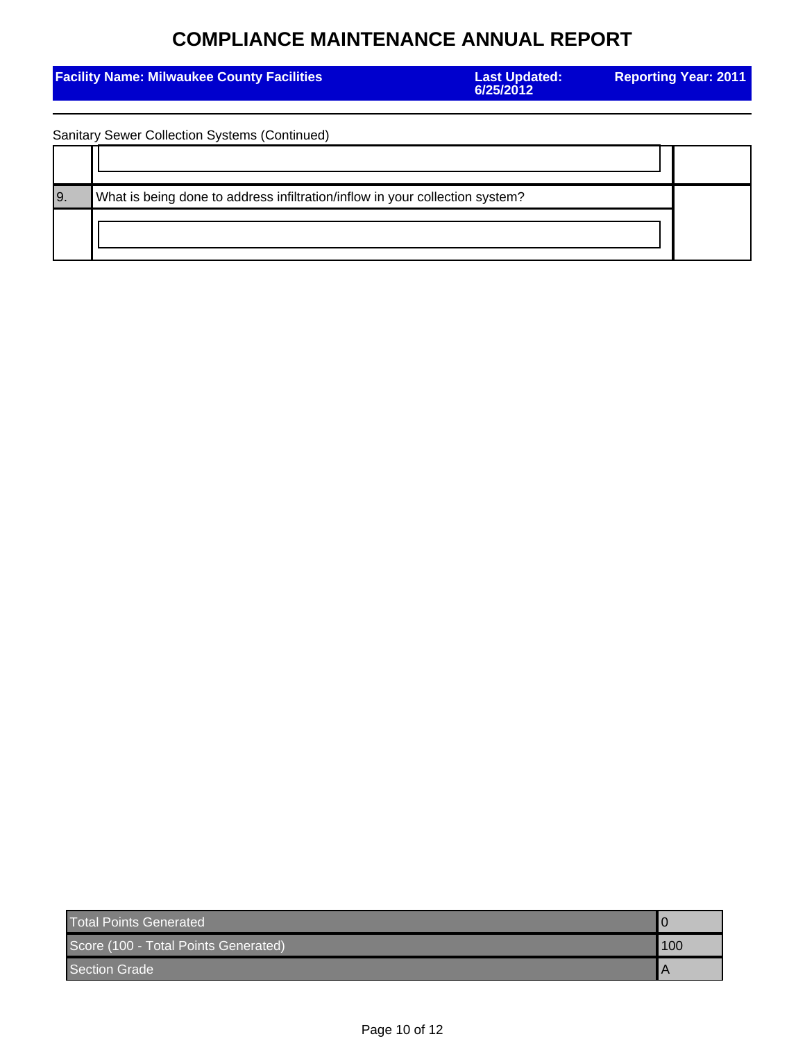| <b>Facility Name: Milwaukee County Facilities</b> |                                                                              | <b>Last Updated:</b><br>6/25/2012 | <b>Reporting Year: 2011</b> |  |
|---------------------------------------------------|------------------------------------------------------------------------------|-----------------------------------|-----------------------------|--|
|                                                   |                                                                              |                                   |                             |  |
|                                                   | Sanitary Sewer Collection Systems (Continued)                                |                                   |                             |  |
|                                                   |                                                                              |                                   |                             |  |
| 19.                                               | What is being done to address infiltration/inflow in your collection system? |                                   |                             |  |
|                                                   |                                                                              |                                   |                             |  |

| <b>Total Points Generated</b>        |     |
|--------------------------------------|-----|
| Score (100 - Total Points Generated) | 100 |
| <b>Section Grade</b>                 |     |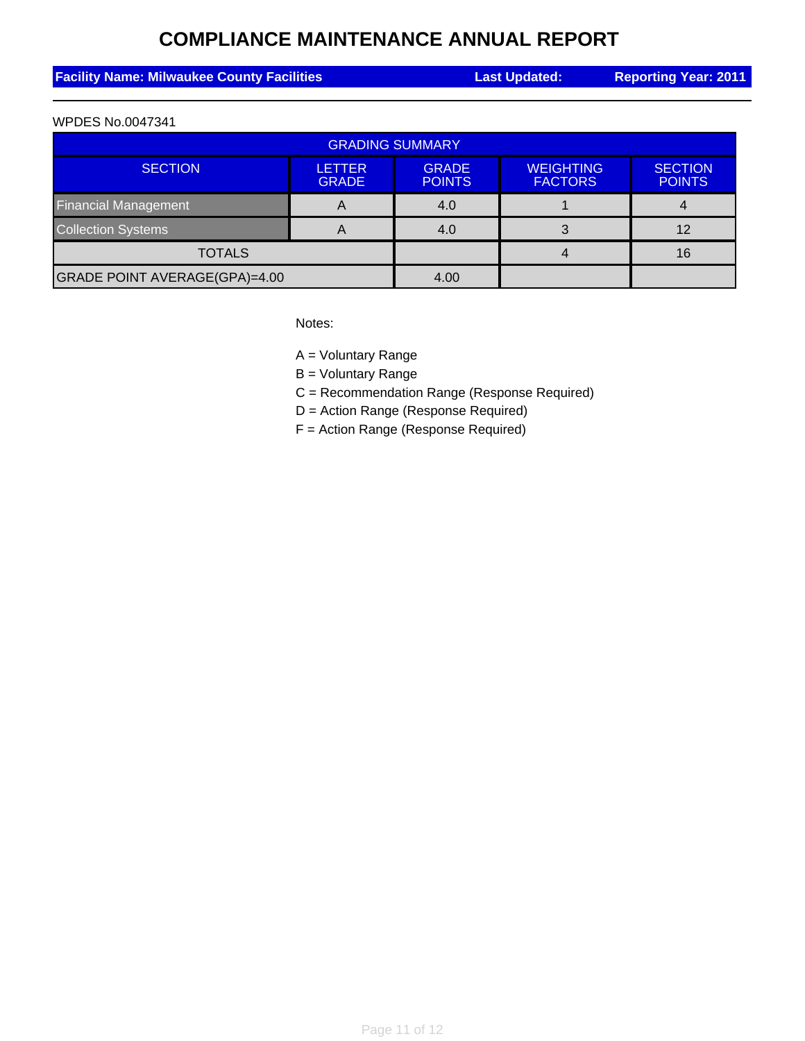| <b>Facility Name: Milwaukee County Facilities</b> | <b>Last Updated:</b> | <b>Reporting Year: 2011</b> |
|---------------------------------------------------|----------------------|-----------------------------|
|                                                   |                      |                             |

#### WPDES No.0047341

| <b>GRADING SUMMARY</b>        |                               |                               |                                    |                                 |
|-------------------------------|-------------------------------|-------------------------------|------------------------------------|---------------------------------|
| <b>SECTION</b>                | <b>LETTER</b><br><b>GRADE</b> | <b>GRADE</b><br><b>POINTS</b> | <b>WEIGHTING</b><br><b>FACTORS</b> | <b>SECTION</b><br><b>POINTS</b> |
| <b>Financial Management</b>   | A                             | 4.0                           |                                    |                                 |
| <b>Collection Systems</b>     | A                             | 4.0                           |                                    | 12                              |
| <b>TOTALS</b>                 |                               |                               |                                    | 16                              |
| GRADE POINT AVERAGE(GPA)=4.00 |                               | 4.00                          |                                    |                                 |

Notes:

A = Voluntary Range

B = Voluntary Range

C = Recommendation Range (Response Required)

D = Action Range (Response Required)

F = Action Range (Response Required)